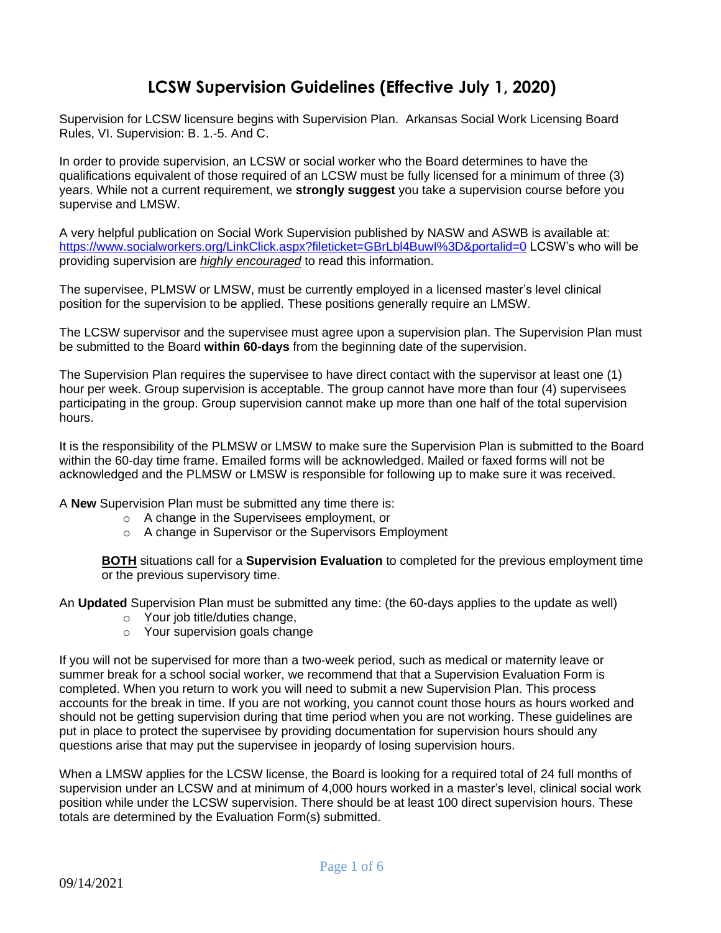# **LCSW Supervision Guidelines (Effective July 1, 2020)**

Supervision for LCSW licensure begins with Supervision Plan. Arkansas Social Work Licensing Board Rules, VI. Supervision: B. 1.-5. And C.

In order to provide supervision, an LCSW or social worker who the Board determines to have the qualifications equivalent of those required of an LCSW must be fully licensed for a minimum of three (3) years. While not a current requirement, we **strongly suggest** you take a supervision course before you supervise and LMSW.

A very helpful publication on Social Work Supervision published by NASW and ASWB is available at: <https://www.socialworkers.org/LinkClick.aspx?fileticket=GBrLbl4BuwI%3D&portalid=0> LCSW's who will be providing supervision are *highly encouraged* to read this information.

The supervisee, PLMSW or LMSW, must be currently employed in a licensed master's level clinical position for the supervision to be applied. These positions generally require an LMSW.

The LCSW supervisor and the supervisee must agree upon a supervision plan. The Supervision Plan must be submitted to the Board **within 60-days** from the beginning date of the supervision.

The Supervision Plan requires the supervisee to have direct contact with the supervisor at least one (1) hour per week. Group supervision is acceptable. The group cannot have more than four (4) supervisees participating in the group. Group supervision cannot make up more than one half of the total supervision hours.

It is the responsibility of the PLMSW or LMSW to make sure the Supervision Plan is submitted to the Board within the 60-day time frame. Emailed forms will be acknowledged. Mailed or faxed forms will not be acknowledged and the PLMSW or LMSW is responsible for following up to make sure it was received.

A **New** Supervision Plan must be submitted any time there is:

- o A change in the Supervisees employment, or
- o A change in Supervisor or the Supervisors Employment

**BOTH** situations call for a **Supervision Evaluation** to completed for the previous employment time or the previous supervisory time.

An **Updated** Supervision Plan must be submitted any time: (the 60-days applies to the update as well)

- o Your job title/duties change,
- o Your supervision goals change

If you will not be supervised for more than a two-week period, such as medical or maternity leave or summer break for a school social worker, we recommend that that a Supervision Evaluation Form is completed. When you return to work you will need to submit a new Supervision Plan. This process accounts for the break in time. If you are not working, you cannot count those hours as hours worked and should not be getting supervision during that time period when you are not working. These guidelines are put in place to protect the supervisee by providing documentation for supervision hours should any questions arise that may put the supervisee in jeopardy of losing supervision hours.

When a LMSW applies for the LCSW license, the Board is looking for a required total of 24 full months of supervision under an LCSW and at minimum of 4,000 hours worked in a master's level, clinical social work position while under the LCSW supervision. There should be at least 100 direct supervision hours. These totals are determined by the Evaluation Form(s) submitted.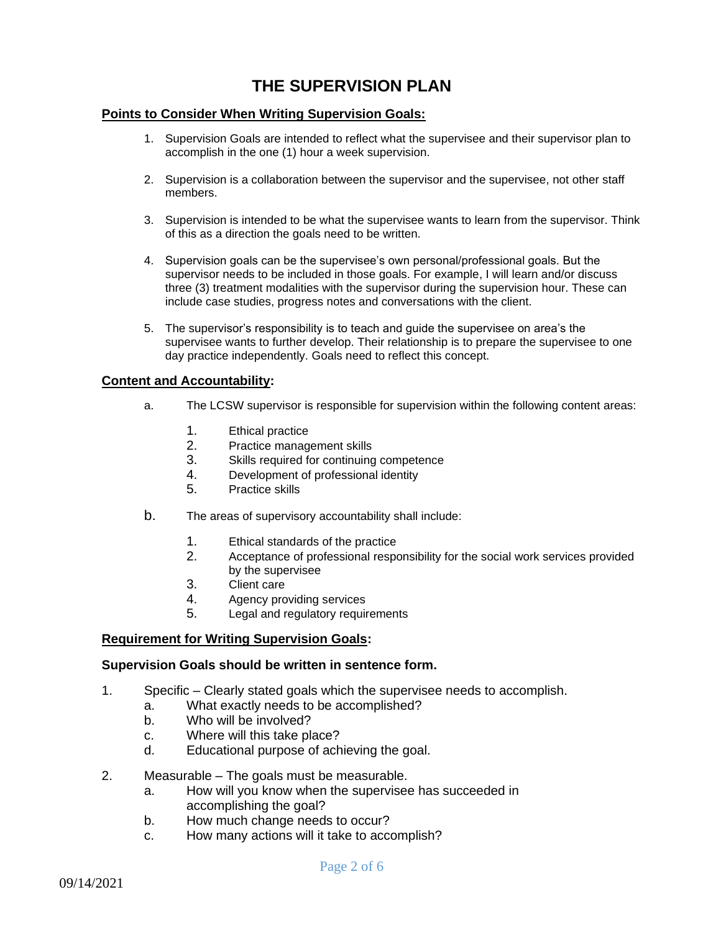# **THE SUPERVISION PLAN**

## **Points to Consider When Writing Supervision Goals:**

- 1. Supervision Goals are intended to reflect what the supervisee and their supervisor plan to accomplish in the one (1) hour a week supervision.
- 2. Supervision is a collaboration between the supervisor and the supervisee, not other staff members.
- 3. Supervision is intended to be what the supervisee wants to learn from the supervisor. Think of this as a direction the goals need to be written.
- 4. Supervision goals can be the supervisee's own personal/professional goals. But the supervisor needs to be included in those goals. For example, I will learn and/or discuss three (3) treatment modalities with the supervisor during the supervision hour. These can include case studies, progress notes and conversations with the client.
- 5. The supervisor's responsibility is to teach and guide the supervisee on area's the supervisee wants to further develop. Their relationship is to prepare the supervisee to one day practice independently. Goals need to reflect this concept.

## **Content and Accountability:**

- a. The LCSW supervisor is responsible for supervision within the following content areas:
	- 1. Ethical practice
	- 2. Practice management skills
	- 3. Skills required for continuing competence
	- 4. Development of professional identity
	- 5. Practice skills
- b. The areas of supervisory accountability shall include:
	- 1. Ethical standards of the practice
	- 2. Acceptance of professional responsibility for the social work services provided by the supervisee
	- 3. Client care
	- 4. Agency providing services
	- 5. Legal and regulatory requirements

## **Requirement for Writing Supervision Goals:**

#### **Supervision Goals should be written in sentence form.**

- 1. Specific Clearly stated goals which the supervisee needs to accomplish.
	- a. What exactly needs to be accomplished?
	- b. Who will be involved?
	- c. Where will this take place?
	- d. Educational purpose of achieving the goal.
- 2. Measurable The goals must be measurable.
	- a. How will you know when the supervisee has succeeded in accomplishing the goal?
	- b. How much change needs to occur?
	- c. How many actions will it take to accomplish?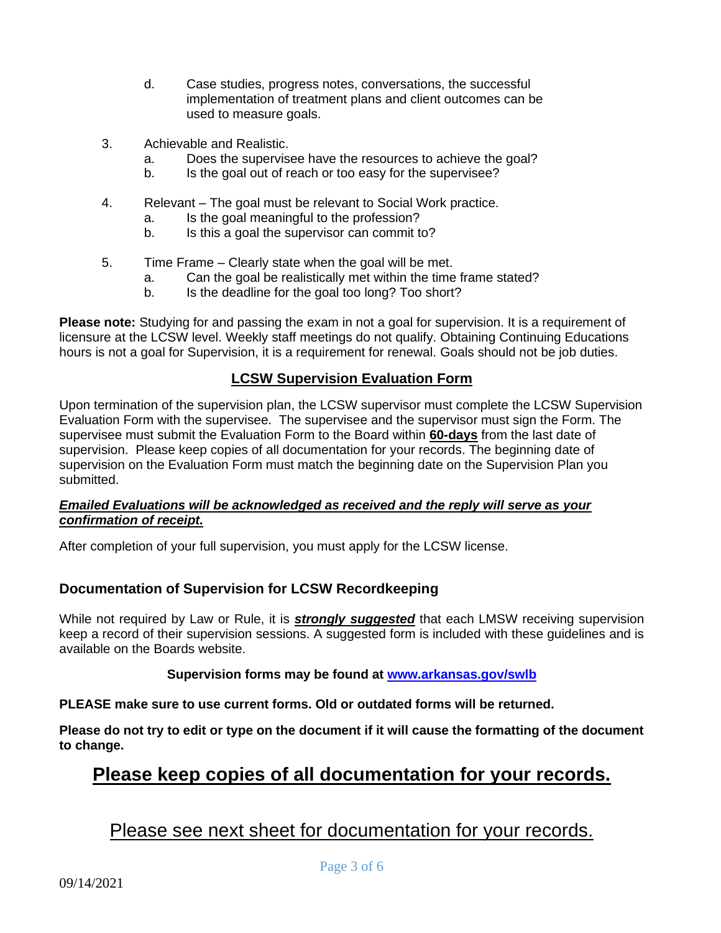- d. Case studies, progress notes, conversations, the successful implementation of treatment plans and client outcomes can be used to measure goals.
- 3. Achievable and Realistic.
	- a. Does the supervisee have the resources to achieve the goal?
	- b. Is the goal out of reach or too easy for the supervisee?
- 4. Relevant The goal must be relevant to Social Work practice.
	- a. Is the goal meaningful to the profession?
	- b. Is this a goal the supervisor can commit to?
- 5. Time Frame Clearly state when the goal will be met.
	- a. Can the goal be realistically met within the time frame stated?
	- b. Is the deadline for the goal too long? Too short?

**Please note:** Studying for and passing the exam in not a goal for supervision. It is a requirement of licensure at the LCSW level. Weekly staff meetings do not qualify. Obtaining Continuing Educations hours is not a goal for Supervision, it is a requirement for renewal. Goals should not be job duties.

## **LCSW Supervision Evaluation Form**

Upon termination of the supervision plan, the LCSW supervisor must complete the LCSW Supervision Evaluation Form with the supervisee. The supervisee and the supervisor must sign the Form. The supervisee must submit the Evaluation Form to the Board within **60-days** from the last date of supervision. Please keep copies of all documentation for your records. The beginning date of supervision on the Evaluation Form must match the beginning date on the Supervision Plan you submitted.

## *Emailed Evaluations will be acknowledged as received and the reply will serve as your confirmation of receipt.*

After completion of your full supervision, you must apply for the LCSW license.

## **Documentation of Supervision for LCSW Recordkeeping**

While not required by Law or Rule, it is *strongly suggested* that each LMSW receiving supervision keep a record of their supervision sessions. A suggested form is included with these guidelines and is available on the Boards website.

## **Supervision forms may be found at [www.arkansas.gov/swlb](https://www.healthy.arkansas.gov/programs-services/topics/arkansas-social-work-licensing-board)**

**PLEASE make sure to use current forms. Old or outdated forms will be returned.** 

**Please do not try to edit or type on the document if it will cause the formatting of the document to change.**

# **Please keep copies of all documentation for your records.**

# Please see next sheet for documentation for your records.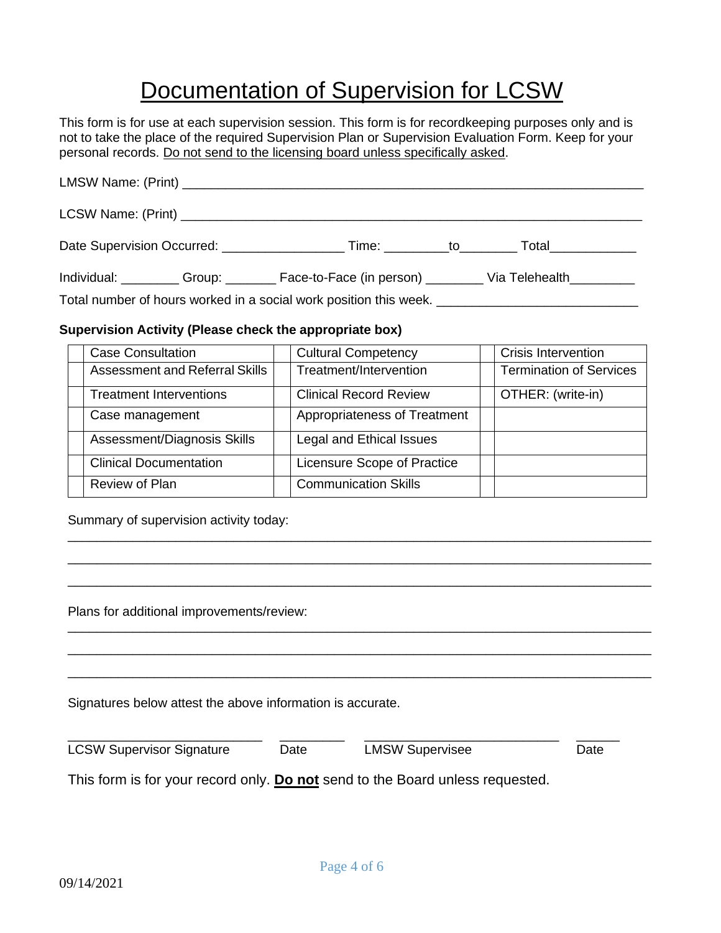# Documentation of Supervision for LCSW

This form is for use at each supervision session. This form is for recordkeeping purposes only and is not to take the place of the required Supervision Plan or Supervision Evaluation Form. Keep for your personal records. Do not send to the licensing board unless specifically asked.

| Individual: __________Group: _________Face-to-Face (in person) _________Via Telehealth____________   |  |  |  |  |  |  |
|------------------------------------------------------------------------------------------------------|--|--|--|--|--|--|
| Total number of hours worked in a social work position this week. __________________________________ |  |  |  |  |  |  |

## **Supervision Activity (Please check the appropriate box)**

| <b>Case Consultation</b>              | <b>Cultural Competency</b>    | <b>Crisis Intervention</b>     |
|---------------------------------------|-------------------------------|--------------------------------|
| <b>Assessment and Referral Skills</b> | Treatment/Intervention        | <b>Termination of Services</b> |
| <b>Treatment Interventions</b>        | <b>Clinical Record Review</b> | OTHER: (write-in)              |
| Case management                       | Appropriateness of Treatment  |                                |
| Assessment/Diagnosis Skills           | Legal and Ethical Issues      |                                |
| <b>Clinical Documentation</b>         | Licensure Scope of Practice   |                                |
| Review of Plan                        | <b>Communication Skills</b>   |                                |

\_\_\_\_\_\_\_\_\_\_\_\_\_\_\_\_\_\_\_\_\_\_\_\_\_\_\_\_\_\_\_\_\_\_\_\_\_\_\_\_\_\_\_\_\_\_\_\_\_\_\_\_\_\_\_\_\_\_\_\_\_\_\_\_\_\_\_\_\_\_\_\_\_\_\_\_\_\_\_\_\_ \_\_\_\_\_\_\_\_\_\_\_\_\_\_\_\_\_\_\_\_\_\_\_\_\_\_\_\_\_\_\_\_\_\_\_\_\_\_\_\_\_\_\_\_\_\_\_\_\_\_\_\_\_\_\_\_\_\_\_\_\_\_\_\_\_\_\_\_\_\_\_\_\_\_\_\_\_\_\_\_\_ \_\_\_\_\_\_\_\_\_\_\_\_\_\_\_\_\_\_\_\_\_\_\_\_\_\_\_\_\_\_\_\_\_\_\_\_\_\_\_\_\_\_\_\_\_\_\_\_\_\_\_\_\_\_\_\_\_\_\_\_\_\_\_\_\_\_\_\_\_\_\_\_\_\_\_\_\_\_\_\_\_

\_\_\_\_\_\_\_\_\_\_\_\_\_\_\_\_\_\_\_\_\_\_\_\_\_\_\_\_\_\_\_\_\_\_\_\_\_\_\_\_\_\_\_\_\_\_\_\_\_\_\_\_\_\_\_\_\_\_\_\_\_\_\_\_\_\_\_\_\_\_\_\_\_\_\_\_\_\_\_\_\_ \_\_\_\_\_\_\_\_\_\_\_\_\_\_\_\_\_\_\_\_\_\_\_\_\_\_\_\_\_\_\_\_\_\_\_\_\_\_\_\_\_\_\_\_\_\_\_\_\_\_\_\_\_\_\_\_\_\_\_\_\_\_\_\_\_\_\_\_\_\_\_\_\_\_\_\_\_\_\_\_\_ \_\_\_\_\_\_\_\_\_\_\_\_\_\_\_\_\_\_\_\_\_\_\_\_\_\_\_\_\_\_\_\_\_\_\_\_\_\_\_\_\_\_\_\_\_\_\_\_\_\_\_\_\_\_\_\_\_\_\_\_\_\_\_\_\_\_\_\_\_\_\_\_\_\_\_\_\_\_\_\_\_

Summary of supervision activity today:

Plans for additional improvements/review:

Signatures below attest the above information is accurate.

| <b>LCSW Supervisor Signature</b>                                              | Date | <b>LMSW Supervisee</b> | Date |  |  |
|-------------------------------------------------------------------------------|------|------------------------|------|--|--|
| This form is for your record only. Do not send to the Board unless requested. |      |                        |      |  |  |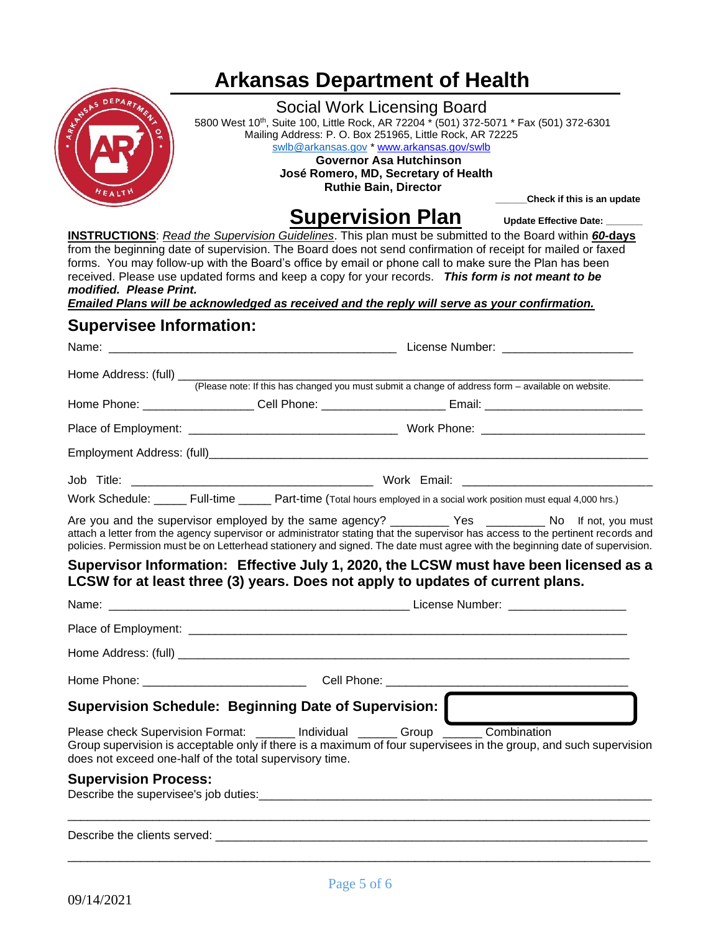# **Arkansas Department of Health**



## Social Work Licensing Board 5800 West 10th, Suite 100, Little Rock, AR 72204 \* (501) 372-5071 \* Fax (501) 372-6301 Mailing Address: P. O. Box 251965, Little Rock, AR 72225 [swlb@arkansas.gov](mailto:swlb@arkansas.gov) [\\* www.arkansas.gov/swlb](https://www.healthy.arkansas.gov/programs-services/topics/arkansas-social-work-licensing-board)  **Governor Asa Hutchinson José Romero, MD, Secretary of Health Ruthie Bain, Director**

 **\_\_\_\_\_\_Check if this is an update**

# **Supervision Plan** Update Effective Date:

**INSTRUCTIONS**: *Read the Supervision Guidelines*. This plan must be submitted to the Board within *60-***days** from the beginning date of supervision. The Board does not send confirmation of receipt for mailed or faxed forms. You may follow-up with the Board's office by email or phone call to make sure the Plan has been received. Please use updated forms and keep a copy for your records. *This form is not meant to be modified. Please Print.*

*Emailed Plans will be acknowledged as received and the reply will serve as your confirmation.*

## **Supervisee Information:**

|                                                                                                                                                                                                                                                                   |                                                                                                    | License Number: _______________________ |  |
|-------------------------------------------------------------------------------------------------------------------------------------------------------------------------------------------------------------------------------------------------------------------|----------------------------------------------------------------------------------------------------|-----------------------------------------|--|
|                                                                                                                                                                                                                                                                   |                                                                                                    |                                         |  |
|                                                                                                                                                                                                                                                                   | (Please note: If this has changed you must submit a change of address form – available on website. |                                         |  |
| Home Phone: _____________________Cell Phone: ________________________Email: __________________________________                                                                                                                                                    |                                                                                                    |                                         |  |
|                                                                                                                                                                                                                                                                   |                                                                                                    |                                         |  |
|                                                                                                                                                                                                                                                                   |                                                                                                    |                                         |  |
|                                                                                                                                                                                                                                                                   |                                                                                                    |                                         |  |
| Work Schedule: _____ Full-time _____ Part-time (Total hours employed in a social work position must equal 4,000 hrs.)                                                                                                                                             |                                                                                                    |                                         |  |
| attach a letter from the agency supervisor or administrator stating that the supervisor has access to the pertinent records and<br>policies. Permission must be on Letterhead stationery and signed. The date must agree with the beginning date of supervision.  |                                                                                                    |                                         |  |
| Supervisor Information: Effective July 1, 2020, the LCSW must have been licensed as a<br>LCSW for at least three (3) years. Does not apply to updates of current plans.                                                                                           |                                                                                                    |                                         |  |
|                                                                                                                                                                                                                                                                   |                                                                                                    |                                         |  |
|                                                                                                                                                                                                                                                                   |                                                                                                    |                                         |  |
|                                                                                                                                                                                                                                                                   |                                                                                                    |                                         |  |
|                                                                                                                                                                                                                                                                   |                                                                                                    |                                         |  |
| Supervision Schedule: Beginning Date of Supervision:                                                                                                                                                                                                              |                                                                                                    |                                         |  |
| Please check Supervision Format: ______ Individual ______ Group _____ Combination<br>Group supervision is acceptable only if there is a maximum of four supervisees in the group, and such supervision<br>does not exceed one-half of the total supervisory time. |                                                                                                    |                                         |  |
| <b>Supervision Process:</b><br>Describe the supervisee's job duties: <b>Constanting the supervise of the supervise of the supervise</b> of the supervise of the supervise of the supervise of the supervise of the supervise of the supervise of the supervise of |                                                                                                    |                                         |  |
|                                                                                                                                                                                                                                                                   |                                                                                                    |                                         |  |